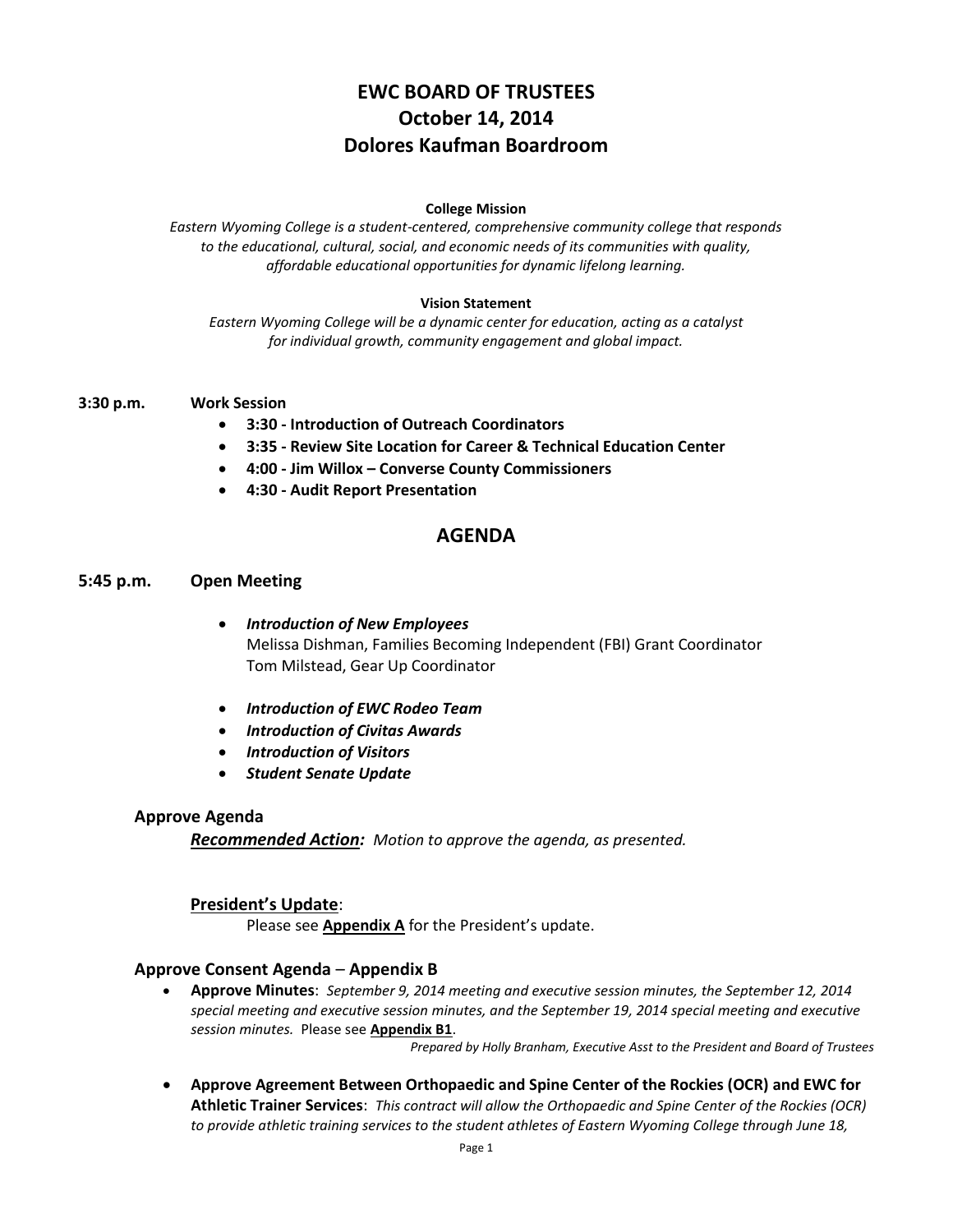# **EWC BOARD OF TRUSTEES October 14, 2014 Dolores Kaufman Boardroom**

### **College Mission**

*Eastern Wyoming College is a student-centered, comprehensive community college that responds to the educational, cultural, social, and economic needs of its communities with quality, affordable educational opportunities for dynamic lifelong learning.*

### **Vision Statement**

*Eastern Wyoming College will be a dynamic center for education, acting as a catalyst for individual growth, community engagement and global impact.*

- **3:30 p.m. Work Session**
	- **3:30 - Introduction of Outreach Coordinators**
	- **3:35 - Review Site Location for Career & Technical Education Center**
	- **4:00 - Jim Willox – Converse County Commissioners**
	- **4:30 - Audit Report Presentation**

# **AGENDA**

### **5:45 p.m. Open Meeting**

- *Introduction of New Employees* Melissa Dishman, Families Becoming Independent (FBI) Grant Coordinator Tom Milstead, Gear Up Coordinator
- *Introduction of EWC Rodeo Team*
- *Introduction of Civitas Awards*
- *Introduction of Visitors*
- *Student Senate Update*

#### **Approve Agenda**

*Recommended Action: Motion to approve the agenda, as presented.*

## **President's Update**:

Please see **Appendix A** for the President's update.

## **Approve Consent Agenda** – **Appendix B**

 **Approve Minutes**: *September 9, 2014 meeting and executive session minutes, the September 12, 2014 special meeting and executive session minutes, and the September 19, 2014 special meeting and executive session minutes.* Please see **Appendix B1**.

*Prepared by Holly Branham, Executive Asst to the President and Board of Trustees*

 **Approve Agreement Between Orthopaedic and Spine Center of the Rockies (OCR) and EWC for Athletic Trainer Services**: *This contract will allow the Orthopaedic and Spine Center of the Rockies (OCR) to provide athletic training services to the student athletes of Eastern Wyoming College through June 18,*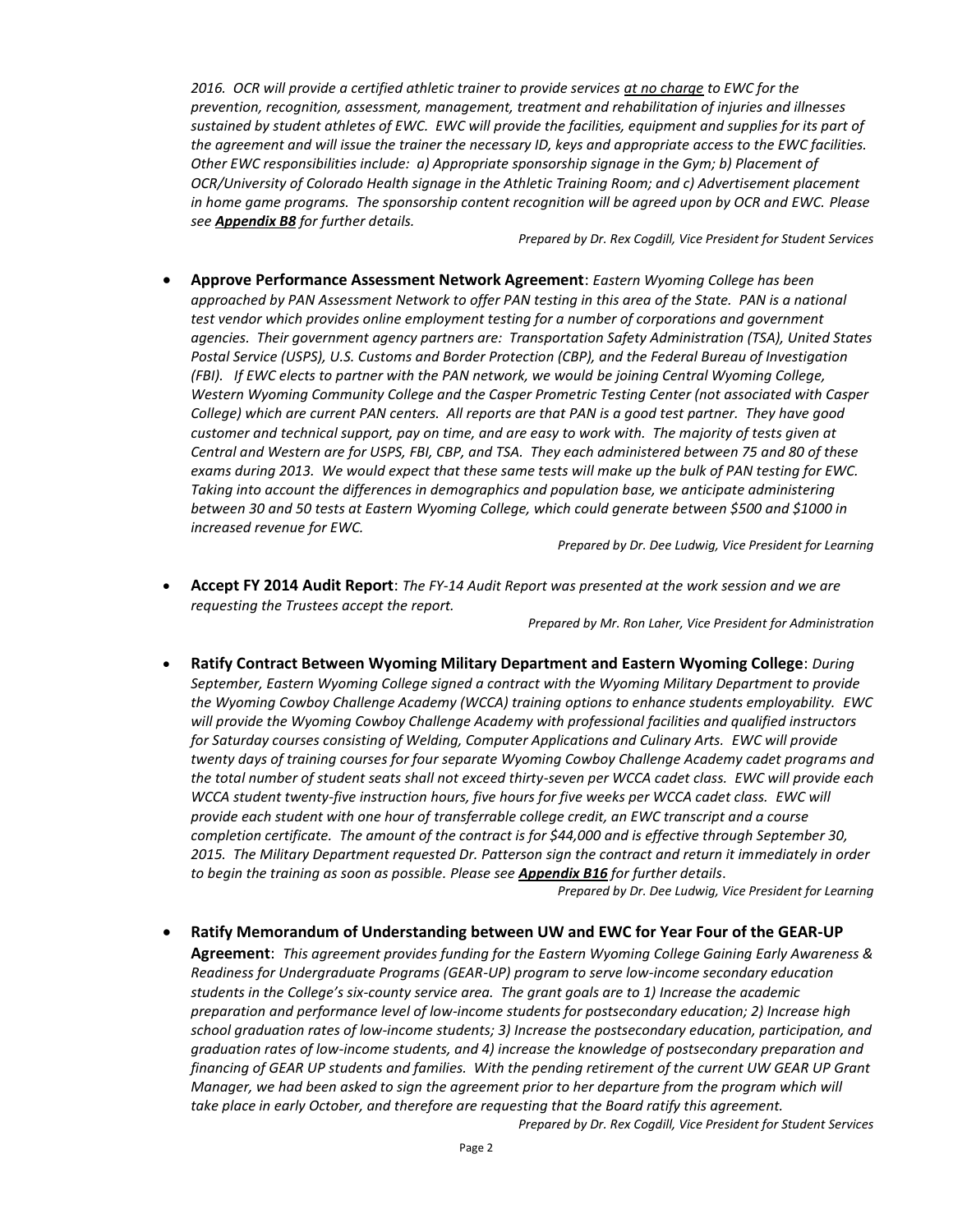*2016. OCR will provide a certified athletic trainer to provide services at no charge to EWC for the prevention, recognition, assessment, management, treatment and rehabilitation of injuries and illnesses sustained by student athletes of EWC. EWC will provide the facilities, equipment and supplies for its part of the agreement and will issue the trainer the necessary ID, keys and appropriate access to the EWC facilities. Other EWC responsibilities include: a) Appropriate sponsorship signage in the Gym; b) Placement of OCR/University of Colorado Health signage in the Athletic Training Room; and c) Advertisement placement in home game programs. The sponsorship content recognition will be agreed upon by OCR and EWC. Please see Appendix B8 for further details.*

*Prepared by Dr. Rex Cogdill, Vice President for Student Services*

 **Approve Performance Assessment Network Agreement**: *Eastern Wyoming College has been approached by PAN Assessment Network to offer PAN testing in this area of the State. PAN is a national test vendor which provides online employment testing for a number of corporations and government agencies. Their government agency partners are: Transportation Safety Administration (TSA), United States Postal Service (USPS), U.S. Customs and Border Protection (CBP), and the Federal Bureau of Investigation (FBI). If EWC elects to partner with the PAN network, we would be joining Central Wyoming College, Western Wyoming Community College and the Casper Prometric Testing Center (not associated with Casper College) which are current PAN centers. All reports are that PAN is a good test partner. They have good customer and technical support, pay on time, and are easy to work with. The majority of tests given at Central and Western are for USPS, FBI, CBP, and TSA. They each administered between 75 and 80 of these exams during 2013. We would expect that these same tests will make up the bulk of PAN testing for EWC. Taking into account the differences in demographics and population base, we anticipate administering between 30 and 50 tests at Eastern Wyoming College, which could generate between \$500 and \$1000 in increased revenue for EWC.*

*Prepared by Dr. Dee Ludwig, Vice President for Learning*

 **Accept FY 2014 Audit Report**: *The FY-14 Audit Report was presented at the work session and we are requesting the Trustees accept the report.*

*Prepared by Mr. Ron Laher, Vice President for Administration*

 **Ratify Contract Between Wyoming Military Department and Eastern Wyoming College**: *During September, Eastern Wyoming College signed a contract with the Wyoming Military Department to provide the Wyoming Cowboy Challenge Academy (WCCA) training options to enhance students employability. EWC will provide the Wyoming Cowboy Challenge Academy with professional facilities and qualified instructors for Saturday courses consisting of Welding, Computer Applications and Culinary Arts. EWC will provide twenty days of training courses for four separate Wyoming Cowboy Challenge Academy cadet programs and the total number of student seats shall not exceed thirty-seven per WCCA cadet class. EWC will provide each WCCA student twenty-five instruction hours, five hours for five weeks per WCCA cadet class. EWC will provide each student with one hour of transferrable college credit, an EWC transcript and a course completion certificate. The amount of the contract is for \$44,000 and is effective through September 30, 2015. The Military Department requested Dr. Patterson sign the contract and return it immediately in order to begin the training as soon as possible. Please see Appendix B16 for further details*.

*Prepared by Dr. Dee Ludwig, Vice President for Learning*

 **Ratify Memorandum of Understanding between UW and EWC for Year Four of the GEAR-UP Agreement**: *This agreement provides funding for the Eastern Wyoming College Gaining Early Awareness & Readiness for Undergraduate Programs (GEAR-UP) program to serve low-income secondary education students in the College's six-county service area. The grant goals are to 1) Increase the academic preparation and performance level of low-income students for postsecondary education; 2) Increase high school graduation rates of low-income students; 3) Increase the postsecondary education, participation, and graduation rates of low-income students, and 4) increase the knowledge of postsecondary preparation and financing of GEAR UP students and families. With the pending retirement of the current UW GEAR UP Grant Manager, we had been asked to sign the agreement prior to her departure from the program which will take place in early October, and therefore are requesting that the Board ratify this agreement.*

*Prepared by Dr. Rex Cogdill, Vice President for Student Services*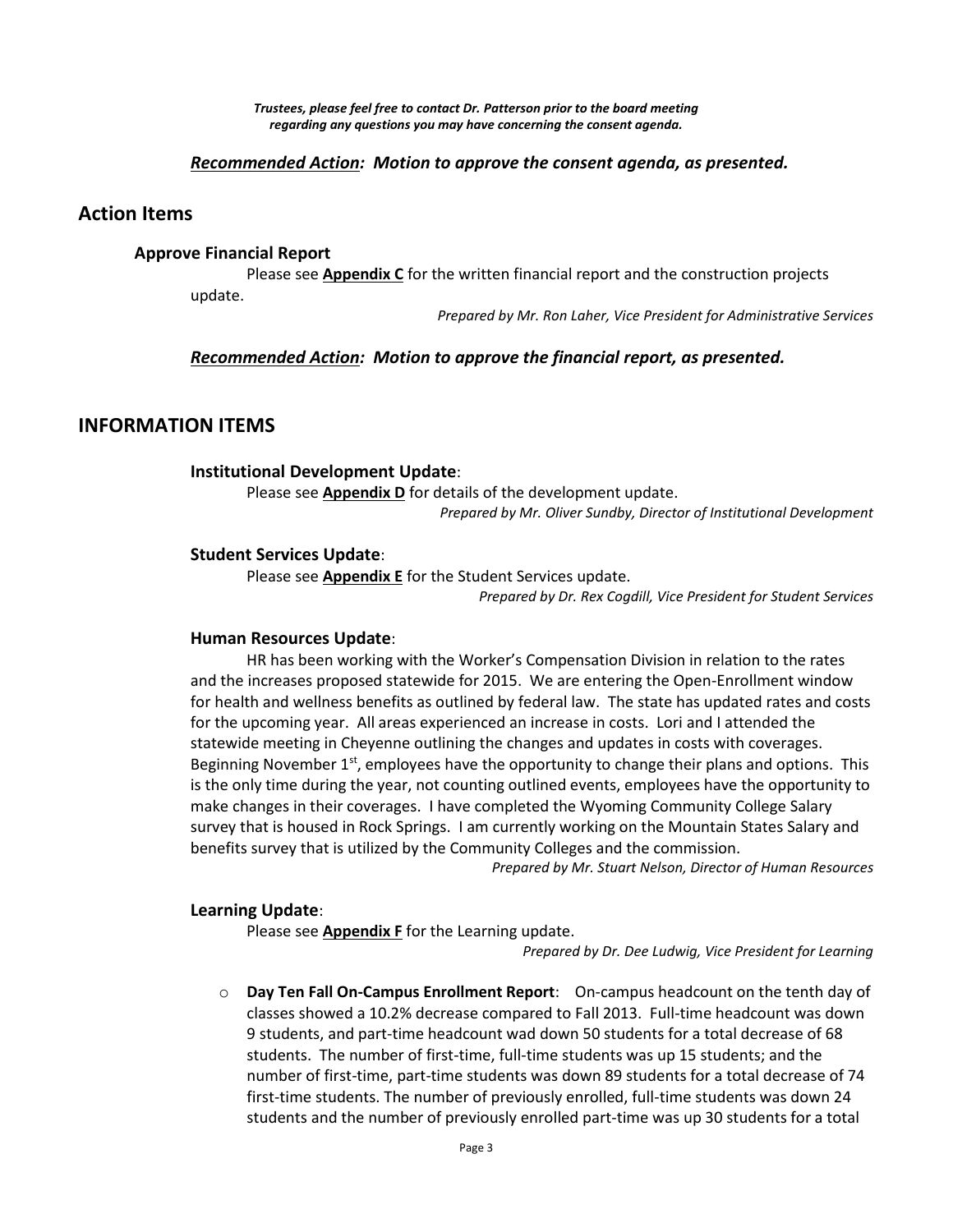*Trustees, please feel free to contact Dr. Patterson prior to the board meeting regarding any questions you may have concerning the consent agenda.*

## *Recommended Action: Motion to approve the consent agenda, as presented.*

## **Action Items**

#### **Approve Financial Report**

Please see **Appendix C** for the written financial report and the construction projects update.

*Prepared by Mr. Ron Laher, Vice President for Administrative Services*

#### *Recommended Action: Motion to approve the financial report, as presented.*

## **INFORMATION ITEMS**

#### **Institutional Development Update**:

Please see **Appendix D** for details of the development update.

*Prepared by Mr. Oliver Sundby, Director of Institutional Development*

# **Student Services Update**:

Please see **Appendix E** for the Student Services update.

*Prepared by Dr. Rex Cogdill, Vice President for Student Services*

#### **Human Resources Update**:

HR has been working with the Worker's Compensation Division in relation to the rates and the increases proposed statewide for 2015. We are entering the Open-Enrollment window for health and wellness benefits as outlined by federal law. The state has updated rates and costs for the upcoming year. All areas experienced an increase in costs. Lori and I attended the statewide meeting in Cheyenne outlining the changes and updates in costs with coverages. Beginning November  $1<sup>st</sup>$ , employees have the opportunity to change their plans and options. This is the only time during the year, not counting outlined events, employees have the opportunity to make changes in their coverages. I have completed the Wyoming Community College Salary survey that is housed in Rock Springs. I am currently working on the Mountain States Salary and benefits survey that is utilized by the Community Colleges and the commission.

*Prepared by Mr. Stuart Nelson, Director of Human Resources*

#### **Learning Update**:

Please see **Appendix F** for the Learning update.

*Prepared by Dr. Dee Ludwig, Vice President for Learning*

o **Day Ten Fall On-Campus Enrollment Report**: On-campus headcount on the tenth day of classes showed a 10.2% decrease compared to Fall 2013. Full-time headcount was down 9 students, and part-time headcount wad down 50 students for a total decrease of 68 students. The number of first-time, full-time students was up 15 students; and the number of first-time, part-time students was down 89 students for a total decrease of 74 first-time students. The number of previously enrolled, full-time students was down 24 students and the number of previously enrolled part-time was up 30 students for a total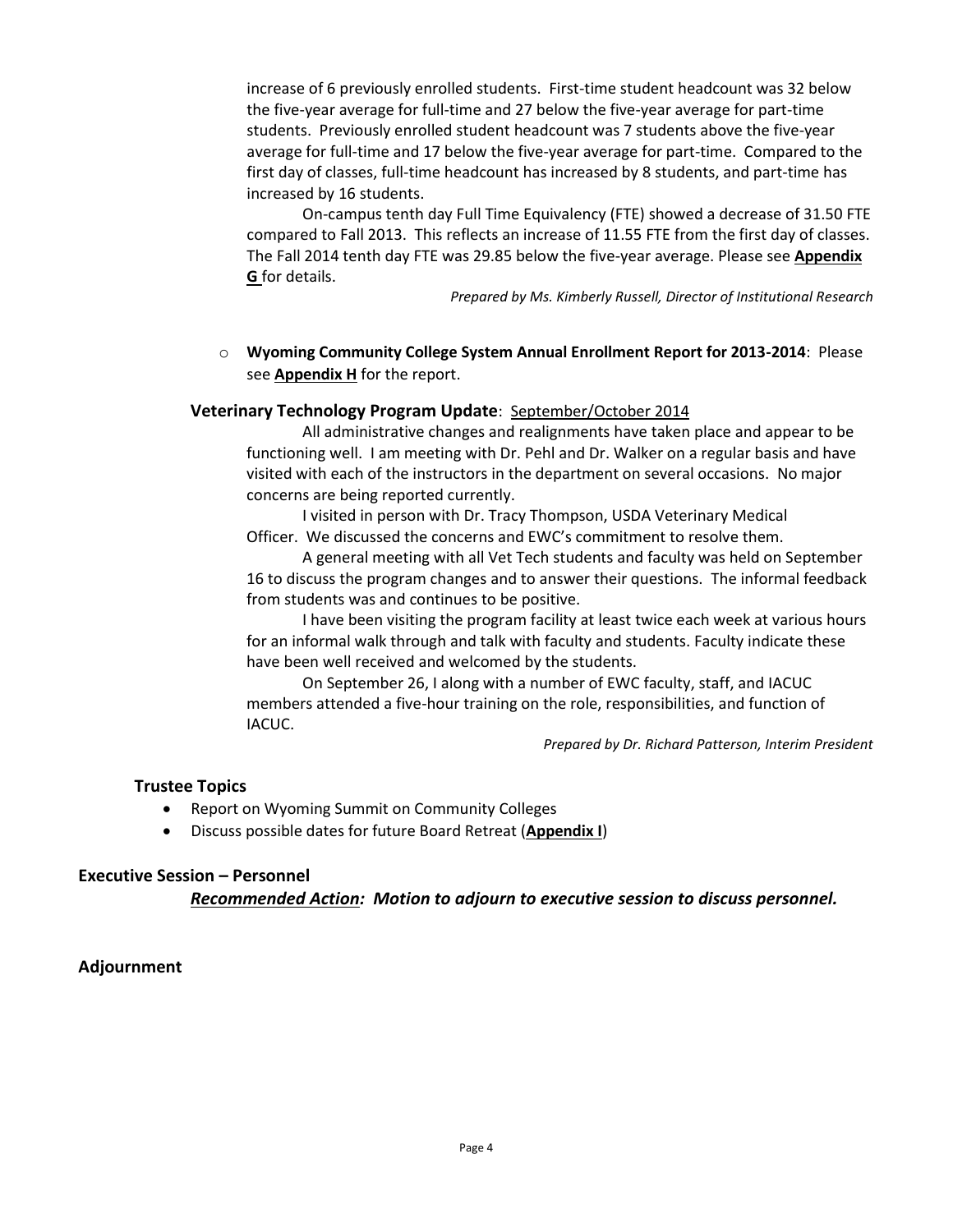increase of 6 previously enrolled students. First-time student headcount was 32 below the five-year average for full-time and 27 below the five-year average for part-time students. Previously enrolled student headcount was 7 students above the five-year average for full-time and 17 below the five-year average for part-time. Compared to the first day of classes, full-time headcount has increased by 8 students, and part-time has increased by 16 students.

On-campus tenth day Full Time Equivalency (FTE) showed a decrease of 31.50 FTE compared to Fall 2013. This reflects an increase of 11.55 FTE from the first day of classes. The Fall 2014 tenth day FTE was 29.85 below the five-year average. Please see **Appendix G** for details.

*Prepared by Ms. Kimberly Russell, Director of Institutional Research*

o **Wyoming Community College System Annual Enrollment Report for 2013-2014**: Please see **Appendix H** for the report.

## **Veterinary Technology Program Update**: September/October 2014

All administrative changes and realignments have taken place and appear to be functioning well. I am meeting with Dr. Pehl and Dr. Walker on a regular basis and have visited with each of the instructors in the department on several occasions. No major concerns are being reported currently.

I visited in person with Dr. Tracy Thompson, USDA Veterinary Medical Officer. We discussed the concerns and EWC's commitment to resolve them.

A general meeting with all Vet Tech students and faculty was held on September 16 to discuss the program changes and to answer their questions. The informal feedback from students was and continues to be positive.

I have been visiting the program facility at least twice each week at various hours for an informal walk through and talk with faculty and students. Faculty indicate these have been well received and welcomed by the students.

On September 26, I along with a number of EWC faculty, staff, and IACUC members attended a five-hour training on the role, responsibilities, and function of IACUC.

*Prepared by Dr. Richard Patterson, Interim President*

# **Trustee Topics**

- Report on Wyoming Summit on Community Colleges
- Discuss possible dates for future Board Retreat (**Appendix I**)

## **Executive Session – Personnel**

*Recommended Action: Motion to adjourn to executive session to discuss personnel.*

# **Adjournment**